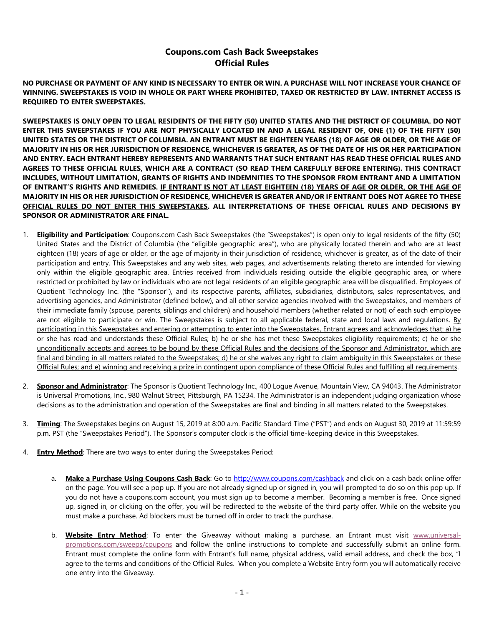## **Coupons.com Cash Back Sweepstakes Official Rules**

**NO PURCHASE OR PAYMENT OF ANY KIND IS NECESSARY TO ENTER OR WIN. A PURCHASE WILL NOT INCREASE YOUR CHANCE OF WINNING. SWEEPSTAKES IS VOID IN WHOLE OR PART WHERE PROHIBITED, TAXED OR RESTRICTED BY LAW. INTERNET ACCESS IS REQUIRED TO ENTER SWEEPSTAKES.** 

**SWEEPSTAKES IS ONLY OPEN TO LEGAL RESIDENTS OF THE FIFTY (50) UNITED STATES AND THE DISTRICT OF COLUMBIA. DO NOT ENTER THIS SWEEPSTAKES IF YOU ARE NOT PHYSICALLY LOCATED IN AND A LEGAL RESIDENT OF, ONE (1) OF THE FIFTY (50) UNITED STATES OR THE DISTRICT OF COLUMBIA. AN ENTRANT MUST BE EIGHTEEN YEARS (18) OF AGE OR OLDER, OR THE AGE OF MAJORITY IN HIS OR HER JURISDICTION OF RESIDENCE, WHICHEVER IS GREATER, AS OF THE DATE OF HIS OR HER PARTICIPATION AND ENTRY. EACH ENTRANT HEREBY REPRESENTS AND WARRANTS THAT SUCH ENTRANT HAS READ THESE OFFICIAL RULES AND AGREES TO THESE OFFICIAL RULES, WHICH ARE A CONTRACT (SO READ THEM CAREFULLY BEFORE ENTERING). THIS CONTRACT INCLUDES, WITHOUT LIMITATION, GRANTS OF RIGHTS AND INDEMNITIES TO THE SPONSOR FROM ENTRANT AND A LIMITATION OF ENTRANT'S RIGHTS AND REMEDIES. IF ENTRANT IS NOT AT LEAST EIGHTEEN (18) YEARS OF AGE OR OLDER, OR THE AGE OF MAJORITY IN HIS OR HER JURISDICTION OF RESIDENCE, WHICHEVER IS GREATER AND/OR IF ENTRANT DOES NOT AGREE TO THESE OFFICIAL RULES DO NOT ENTER THIS SWEEPSTAKES. ALL INTERPRETATIONS OF THESE OFFICIAL RULES AND DECISIONS BY SPONSOR OR ADMINISTRATOR ARE FINAL.**

- 1. **Eligibility and Participation**: Coupons.com Cash Back Sweepstakes (the "Sweepstakes") is open only to legal residents of the fifty (50) United States and the District of Columbia (the "eligible geographic area"), who are physically located therein and who are at least eighteen (18) years of age or older, or the age of majority in their jurisdiction of residence, whichever is greater, as of the date of their participation and entry. This Sweepstakes and any web sites, web pages, and advertisements relating thereto are intended for viewing only within the eligible geographic area. Entries received from individuals residing outside the eligible geographic area, or where restricted or prohibited by law or individuals who are not legal residents of an eligible geographic area will be disqualified. Employees of Quotient Technology Inc. (the "Sponsor"), and its respective parents, affiliates, subsidiaries, distributors, sales representatives, and advertising agencies, and Administrator (defined below), and all other service agencies involved with the Sweepstakes, and members of their immediate family (spouse, parents, siblings and children) and household members (whether related or not) of each such employee are not eligible to participate or win. The Sweepstakes is subject to all applicable federal, state and local laws and regulations. By participating in this Sweepstakes and entering or attempting to enter into the Sweepstakes, Entrant agrees and acknowledges that: a) he or she has read and understands these Official Rules; b) he or she has met these Sweepstakes eligibility requirements; c) he or she unconditionally accepts and agrees to be bound by these Official Rules and the decisions of the Sponsor and Administrator, which are final and binding in all matters related to the Sweepstakes; d) he or she waives any right to claim ambiguity in this Sweepstakes or these Official Rules; and e) winning and receiving a prize in contingent upon compliance of these Official Rules and fulfilling all requirements.
- 2. **Sponsor and Administrator**: The Sponsor is Quotient Technology Inc., 400 Logue Avenue, Mountain View, CA 94043. The Administrator is Universal Promotions, Inc., 980 Walnut Street, Pittsburgh, PA 15234. The Administrator is an independent judging organization whose decisions as to the administration and operation of the Sweepstakes are final and binding in all matters related to the Sweepstakes.
- 3. **Timing**: The Sweepstakes begins on August 15, 2019 at 8:00 a.m. Pacific Standard Time ("PST") and ends on August 30, 2019 at 11:59:59 p.m. PST (the "Sweepstakes Period"). The Sponsor's computer clock is the official time-keeping device in this Sweepstakes.
- 4. **Entry Method**: There are two ways to enter during the Sweepstakes Period:
	- a. **Make a Purchase Using Coupons Cash Back**: Go t[o http://www.coupons.com/cashback](http://www.coupons.com/cashback) and click on a cash back online offer on the page. You will see a pop up. If you are not already signed up or signed in, you will prompted to do so on this pop up. If you do not have a coupons.com account, you must sign up to become a member. Becoming a member is free. Once signed up, signed in, or clicking on the offer, you will be redirected to the website of the third party offer. While on the website you must make a purchase. Ad blockers must be turned off in order to track the purchase.
	- b. **Website Entry Method**: To enter the Giveaway without making a purchase, an Entrant must visit [www.universal](http://www.universal-promotions.com/sweeps/coupons)[promotions.com/sweeps/coupons](http://www.universal-promotions.com/sweeps/coupons) and follow the online instructions to complete and successfully submit an online form. Entrant must complete the online form with Entrant's full name, physical address, valid email address, and check the box, "I agree to the terms and conditions of the Official Rules. When you complete a Website Entry form you will automatically receive one entry into the Giveaway.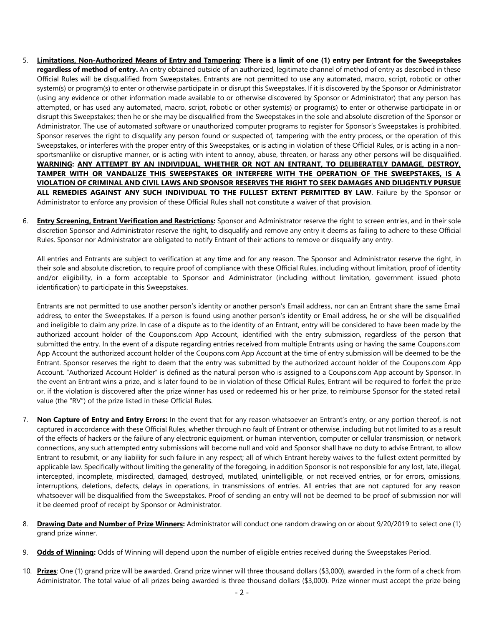- 5. **Limitations, Non-Authorized Means of Entry and Tampering**: **There is a limit of one (1) entry per Entrant for the Sweepstakes regardless of method of entry.** An entry obtained outside of an authorized, legitimate channel of method of entry as described in these Official Rules will be disqualified from Sweepstakes. Entrants are not permitted to use any automated, macro, script, robotic or other system(s) or program(s) to enter or otherwise participate in or disrupt this Sweepstakes. If it is discovered by the Sponsor or Administrator (using any evidence or other information made available to or otherwise discovered by Sponsor or Administrator) that any person has attempted, or has used any automated, macro, script, robotic or other system(s) or program(s) to enter or otherwise participate in or disrupt this Sweepstakes; then he or she may be disqualified from the Sweepstakes in the sole and absolute discretion of the Sponsor or Administrator. The use of automated software or unauthorized computer programs to register for Sponsor's Sweepstakes is prohibited. Sponsor reserves the right to disqualify any person found or suspected of, tampering with the entry process, or the operation of this Sweepstakes, or interferes with the proper entry of this Sweepstakes, or is acting in violation of these Official Rules, or is acting in a nonsportsmanlike or disruptive manner, or is acting with intent to annoy, abuse, threaten, or harass any other persons will be disqualified. **WARNING: ANY ATTEMPT BY AN INDIVIDUAL, WHETHER OR NOT AN ENTRANT, TO DELIBERATELY DAMAGE, DESTROY, TAMPER WITH OR VANDALIZE THIS SWEEPSTAKES OR INTERFERE WITH THE OPERATION OF THE SWEEPSTAKES, IS A VIOLATION OF CRIMINAL AND CIVIL LAWS AND SPONSOR RESERVES THE RIGHT TO SEEK DAMAGES AND DILIGENTLY PURSUE ALL REMEDIES AGAINST ANY SUCH INDIVIDUAL TO THE FULLEST EXTENT PERMITTED BY LAW**. Failure by the Sponsor or Administrator to enforce any provision of these Official Rules shall not constitute a waiver of that provision.
- 6. **Entry Screening, Entrant Verification and Restrictions:** Sponsor and Administrator reserve the right to screen entries, and in their sole discretion Sponsor and Administrator reserve the right, to disqualify and remove any entry it deems as failing to adhere to these Official Rules. Sponsor nor Administrator are obligated to notify Entrant of their actions to remove or disqualify any entry.

All entries and Entrants are subject to verification at any time and for any reason. The Sponsor and Administrator reserve the right, in their sole and absolute discretion, to require proof of compliance with these Official Rules, including without limitation, proof of identity and/or eligibility, in a form acceptable to Sponsor and Administrator (including without limitation, government issued photo identification) to participate in this Sweepstakes.

Entrants are not permitted to use another person's identity or another person's Email address, nor can an Entrant share the same Email address, to enter the Sweepstakes. If a person is found using another person's identity or Email address, he or she will be disqualified and ineligible to claim any prize. In case of a dispute as to the identity of an Entrant, entry will be considered to have been made by the authorized account holder of the Coupons.com App Account, identified with the entry submission, regardless of the person that submitted the entry. In the event of a dispute regarding entries received from multiple Entrants using or having the same Coupons.com App Account the authorized account holder of the Coupons.com App Account at the time of entry submission will be deemed to be the Entrant. Sponsor reserves the right to deem that the entry was submitted by the authorized account holder of the Coupons.com App Account. "Authorized Account Holder" is defined as the natural person who is assigned to a Coupons.com App account by Sponsor. In the event an Entrant wins a prize, and is later found to be in violation of these Official Rules, Entrant will be required to forfeit the prize or, if the violation is discovered after the prize winner has used or redeemed his or her prize, to reimburse Sponsor for the stated retail value (the "RV") of the prize listed in these Official Rules.

- 7. **Non Capture of Entry and Entry Errors:** In the event that for any reason whatsoever an Entrant's entry, or any portion thereof, is not captured in accordance with these Official Rules, whether through no fault of Entrant or otherwise, including but not limited to as a result of the effects of hackers or the failure of any electronic equipment, or human intervention, computer or cellular transmission, or network connections, any such attempted entry submissions will become null and void and Sponsor shall have no duty to advise Entrant, to allow Entrant to resubmit, or any liability for such failure in any respect; all of which Entrant hereby waives to the fullest extent permitted by applicable law. Specifically without limiting the generality of the foregoing, in addition Sponsor is not responsible for any lost, late, illegal, intercepted, incomplete, misdirected, damaged, destroyed, mutilated, unintelligible, or not received entries, or for errors, omissions, interruptions, deletions, defects, delays in operations, in transmissions of entries. All entries that are not captured for any reason whatsoever will be disqualified from the Sweepstakes. Proof of sending an entry will not be deemed to be proof of submission nor will it be deemed proof of receipt by Sponsor or Administrator.
- 8. **Drawing Date and Number of Prize Winners:** Administrator will conduct one random drawing on or about 9/20/2019 to select one (1) grand prize winner.
- 9. **Odds of Winning:** Odds of Winning will depend upon the number of eligible entries received during the Sweepstakes Period.
- 10. **Prizes**: One (1) grand prize will be awarded. Grand prize winner will three thousand dollars (\$3,000), awarded in the form of a check from Administrator. The total value of all prizes being awarded is three thousand dollars (\$3,000). Prize winner must accept the prize being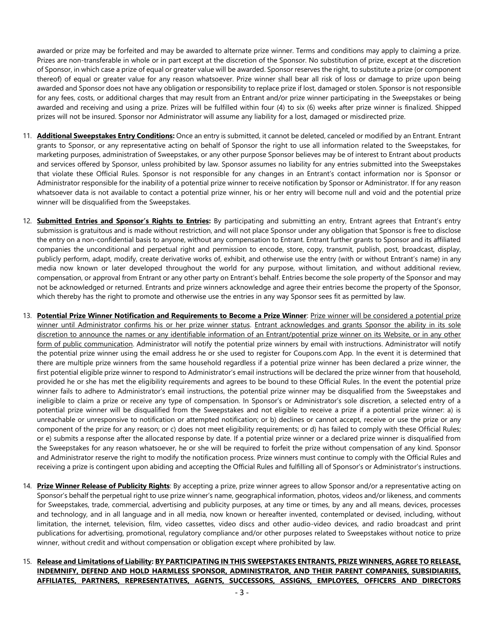awarded or prize may be forfeited and may be awarded to alternate prize winner. Terms and conditions may apply to claiming a prize. Prizes are non-transferable in whole or in part except at the discretion of the Sponsor. No substitution of prize, except at the discretion of Sponsor, in which case a prize of equal or greater value will be awarded. Sponsor reserves the right, to substitute a prize (or component thereof) of equal or greater value for any reason whatsoever. Prize winner shall bear all risk of loss or damage to prize upon being awarded and Sponsor does not have any obligation or responsibility to replace prize if lost, damaged or stolen. Sponsor is not responsible for any fees, costs, or additional charges that may result from an Entrant and/or prize winner participating in the Sweepstakes or being awarded and receiving and using a prize. Prizes will be fulfilled within four (4) to six (6) weeks after prize winner is finalized. Shipped prizes will not be insured. Sponsor nor Administrator will assume any liability for a lost, damaged or misdirected prize.

- 11. **Additional Sweepstakes Entry Conditions:** Once an entry is submitted, it cannot be deleted, canceled or modified by an Entrant. Entrant grants to Sponsor, or any representative acting on behalf of Sponsor the right to use all information related to the Sweepstakes, for marketing purposes, administration of Sweepstakes, or any other purpose Sponsor believes may be of interest to Entrant about products and services offered by Sponsor, unless prohibited by law. Sponsor assumes no liability for any entries submitted into the Sweepstakes that violate these Official Rules. Sponsor is not responsible for any changes in an Entrant's contact information nor is Sponsor or Administrator responsible for the inability of a potential prize winner to receive notification by Sponsor or Administrator. If for any reason whatsoever data is not available to contact a potential prize winner, his or her entry will become null and void and the potential prize winner will be disqualified from the Sweepstakes.
- 12. **Submitted Entries and Sponsor's Rights to Entries:** By participating and submitting an entry, Entrant agrees that Entrant's entry submission is gratuitous and is made without restriction, and will not place Sponsor under any obligation that Sponsor is free to disclose the entry on a non-confidential basis to anyone, without any compensation to Entrant. Entrant further grants to Sponsor and its affiliated companies the unconditional and perpetual right and permission to encode, store, copy, transmit, publish, post, broadcast, display, publicly perform, adapt, modify, create derivative works of, exhibit, and otherwise use the entry (with or without Entrant's name) in any media now known or later developed throughout the world for any purpose, without limitation, and without additional review, compensation, or approval from Entrant or any other party on Entrant's behalf. Entries become the sole property of the Sponsor and may not be acknowledged or returned. Entrants and prize winners acknowledge and agree their entries become the property of the Sponsor, which thereby has the right to promote and otherwise use the entries in any way Sponsor sees fit as permitted by law.
- 13. **Potential Prize Winner Notification and Requirements to Become a Prize Winner**: Prize winner will be considered a potential prize winner until Administrator confirms his or her prize winner status. Entrant acknowledges and grants Sponsor the ability in its sole discretion to announce the names or any identifiable information of an Entrant/potential prize winner on its Website, or in any other form of public communication. Administrator will notify the potential prize winners by email with instructions. Administrator will notify the potential prize winner using the email address he or she used to register for Coupons.com App. In the event it is determined that there are multiple prize winners from the same household regardless if a potential prize winner has been declared a prize winner, the first potential eligible prize winner to respond to Administrator's email instructions will be declared the prize winner from that household, provided he or she has met the eligibility requirements and agrees to be bound to these Official Rules. In the event the potential prize winner fails to adhere to Administrator's email instructions, the potential prize winner may be disqualified from the Sweepstakes and ineligible to claim a prize or receive any type of compensation. In Sponsor's or Administrator's sole discretion, a selected entry of a potential prize winner will be disqualified from the Sweepstakes and not eligible to receive a prize if a potential prize winner: a) is unreachable or unresponsive to notification or attempted notification; or b) declines or cannot accept, receive or use the prize or any component of the prize for any reason; or c) does not meet eligibility requirements; or d) has failed to comply with these Official Rules; or e) submits a response after the allocated response by date. If a potential prize winner or a declared prize winner is disqualified from the Sweepstakes for any reason whatsoever, he or she will be required to forfeit the prize without compensation of any kind. Sponsor and Administrator reserve the right to modify the notification process. Prize winners must continue to comply with the Official Rules and receiving a prize is contingent upon abiding and accepting the Official Rules and fulfilling all of Sponsor's or Administrator's instructions.
- 14. **Prize Winner Release of Publicity Rights**: By accepting a prize, prize winner agrees to allow Sponsor and/or a representative acting on Sponsor's behalf the perpetual right to use prize winner's name, geographical information, photos, videos and/or likeness, and comments for Sweepstakes, trade, commercial, advertising and publicity purposes, at any time or times, by any and all means, devices, processes and technology, and in all language and in all media, now known or hereafter invented, contemplated or devised, including, without limitation, the internet, television, film, video cassettes, video discs and other audio-video devices, and radio broadcast and print publications for advertising, promotional, regulatory compliance and/or other purposes related to Sweepstakes without notice to prize winner, without credit and without compensation or obligation except where prohibited by law.
- 15. **Release and Limitations of Liability: BY PARTICIPATING IN THIS SWEEPSTAKES ENTRANTS, PRIZE WINNERS, AGREE TO RELEASE, INDEMNIFY, DEFEND AND HOLD HARMLESS SPONSOR, ADMINISTRATOR, AND THEIR PARENT COMPANIES, SUBSIDIARIES, AFFILIATES, PARTNERS, REPRESENTATIVES, AGENTS, SUCCESSORS, ASSIGNS, EMPLOYEES, OFFICERS AND DIRECTORS**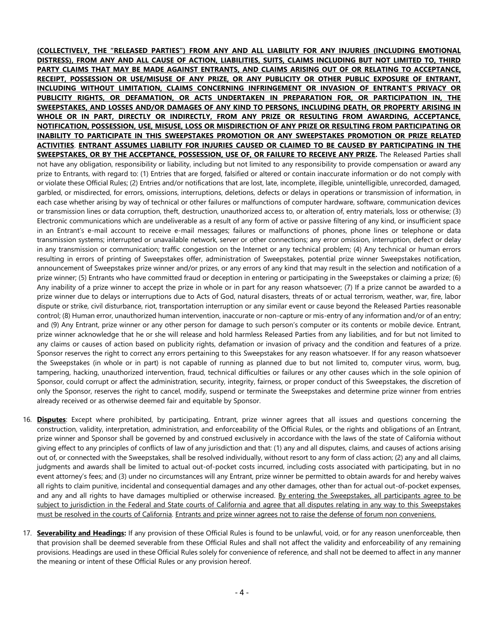**(COLLECTIVELY, THE "RELEASED PARTIES") FROM ANY AND ALL LIABILITY FOR ANY INJURIES (INCLUDING EMOTIONAL DISTRESS), FROM ANY AND ALL CAUSE OF ACTION, LIABILITIES, SUITS, CLAIMS INCLUDING BUT NOT LIMITED TO, THIRD PARTY CLAIMS THAT MAY BE MADE AGAINST ENTRANTS, AND CLAIMS ARISING OUT OF OR RELATING TO ACCEPTANCE, RECEIPT, POSSESSION OR USE/MISUSE OF ANY PRIZE, OR ANY PUBLICITY OR OTHER PUBLIC EXPOSURE OF ENTRANT, INCLUDING WITHOUT LIMITATION, CLAIMS CONCERNING INFRINGEMENT OR INVASION OF ENTRANT'S PRIVACY OR PUBLICITY RIGHTS, OR DEFAMATION, OR ACTS UNDERTAKEN IN PREPARATION FOR, OR PARTICIPATION IN, THE SWEEPSTAKES, AND LOSSES AND/OR DAMAGES OF ANY KIND TO PERSONS, INCLUDING DEATH, OR PROPERTY ARISING IN WHOLE OR IN PART, DIRECTLY OR INDIRECTLY, FROM ANY PRIZE OR RESULTING FROM AWARDING, ACCEPTANCE, NOTIFICATION, POSSESSION, USE, MISUSE, LOSS OR MISDIRECTION OF ANY PRIZE OR RESULTING FROM PARTICIPATING OR INABILITY TO PARTICIPATE IN THIS SWEEPSTAKES PROMOTION OR ANY SWEEPSTAKES PROMOTION OR PRIZE RELATED ACTIVITIES**. **ENTRANT ASSUMES LIABILITY FOR INJURIES CAUSED OR CLAIMED TO BE CAUSED BY PARTICIPATING IN THE SWEEPSTAKES, OR BY THE ACCEPTANCE, POSSESSION, USE OF, OR FAILURE TO RECEIVE ANY PRIZE.** The Released Parties shall not have any obligation, responsibility or liability, including but not limited to any responsibility to provide compensation or award any prize to Entrants, with regard to: (1) Entries that are forged, falsified or altered or contain inaccurate information or do not comply with or violate these Official Rules; (2) Entries and/or notifications that are lost, late, incomplete, illegible, unintelligible, unrecorded, damaged, garbled, or misdirected, for errors, omissions, interruptions, deletions, defects or delays in operations or transmission of information, in each case whether arising by way of technical or other failures or malfunctions of computer hardware, software, communication devices or transmission lines or data corruption, theft, destruction, unauthorized access to, or alteration of, entry materials, loss or otherwise; (3) Electronic communications which are undeliverable as a result of any form of active or passive filtering of any kind, or insufficient space in an Entrant's e-mail account to receive e-mail messages; failures or malfunctions of phones, phone lines or telephone or data transmission systems; interrupted or unavailable network, server or other connections; any error omission, interruption, defect or delay in any transmission or communication; traffic congestion on the Internet or any technical problem; (4) Any technical or human errors resulting in errors of printing of Sweepstakes offer, administration of Sweepstakes, potential prize winner Sweepstakes notification, announcement of Sweepstakes prize winner and/or prizes, or any errors of any kind that may result in the selection and notification of a prize winner; (5) Entrants who have committed fraud or deception in entering or participating in the Sweepstakes or claiming a prize; (6) Any inability of a prize winner to accept the prize in whole or in part for any reason whatsoever; (7) If a prize cannot be awarded to a prize winner due to delays or interruptions due to Acts of God, natural disasters, threats of or actual terrorism, weather, war, fire, labor dispute or strike, civil disturbance, riot, transportation interruption or any similar event or cause beyond the Released Parties reasonable control; (8) Human error, unauthorized human intervention, inaccurate or non-capture or mis-entry of any information and/or of an entry; and (9) Any Entrant, prize winner or any other person for damage to such person's computer or its contents or mobile device. Entrant, prize winner acknowledge that he or she will release and hold harmless Released Parties from any liabilities, and for but not limited to any claims or causes of action based on publicity rights, defamation or invasion of privacy and the condition and features of a prize. Sponsor reserves the right to correct any errors pertaining to this Sweepstakes for any reason whatsoever. If for any reason whatsoever the Sweepstakes (in whole or in part) is not capable of running as planned due to but not limited to, computer virus, worm, bug, tampering, hacking, unauthorized intervention, fraud, technical difficulties or failures or any other causes which in the sole opinion of Sponsor, could corrupt or affect the administration, security, integrity, fairness, or proper conduct of this Sweepstakes, the discretion of only the Sponsor, reserves the right to cancel, modify, suspend or terminate the Sweepstakes and determine prize winner from entries already received or as otherwise deemed fair and equitable by Sponsor.

- 16. **Disputes**: Except where prohibited, by participating, Entrant, prize winner agrees that all issues and questions concerning the construction, validity, interpretation, administration, and enforceability of the Official Rules, or the rights and obligations of an Entrant, prize winner and Sponsor shall be governed by and construed exclusively in accordance with the laws of the state of California without giving effect to any principles of conflicts of law of any jurisdiction and that: (1) any and all disputes, claims, and causes of actions arising out of, or connected with the Sweepstakes, shall be resolved individually, without resort to any form of class action; (2) any and all claims, judgments and awards shall be limited to actual out-of-pocket costs incurred, including costs associated with participating, but in no event attorney's fees; and (3) under no circumstances will any Entrant, prize winner be permitted to obtain awards for and hereby waives all rights to claim punitive, incidental and consequential damages and any other damages, other than for actual out-of-pocket expenses, and any and all rights to have damages multiplied or otherwise increased. By entering the Sweepstakes, all participants agree to be subject to jurisdiction in the Federal and State courts of California and agree that all disputes relating in any way to this Sweepstakes must be resolved in the courts of California. Entrants and prize winner agrees not to raise the defense of forum non conveniens.
- 17. **Severability and Headings:** If any provision of these Official Rules is found to be unlawful, void, or for any reason unenforceable, then that provision shall be deemed severable from these Official Rules and shall not affect the validity and enforceability of any remaining provisions. Headings are used in these Official Rules solely for convenience of reference, and shall not be deemed to affect in any manner the meaning or intent of these Official Rules or any provision hereof.